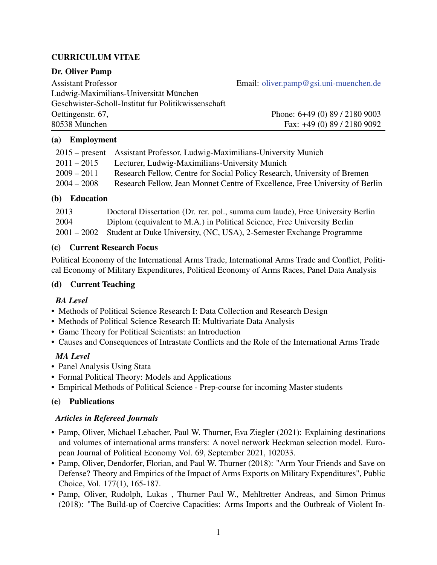# CURRICULUM VITAE

### Dr. Oliver Pamp

Assistant Professor Email: [oliver.pamp@gsi.uni-muenchen.de](mailto:oliver.pamp@gsi.uni-muenchen.de) Ludwig-Maximilians-Universität München Geschwister-Scholl-Institut fur Politikwissenschaft Oettingenstr. 67, Phone: 6+49 (0) 89 / 2180 9003

80538 München Fax: +49 (0) 89 / 2180 9092

### (a) Employment

|               | 2015 – present Assistant Professor, Ludwig-Maximilians-University Munich     |
|---------------|------------------------------------------------------------------------------|
| $2011 - 2015$ | Lecturer, Ludwig-Maximilians-University Munich                               |
| $2009 - 2011$ | Research Fellow, Centre for Social Policy Research, University of Bremen     |
| $2004 - 2008$ | Research Fellow, Jean Monnet Centre of Excellence, Free University of Berlin |

### (b) Education

| 2013 | Doctoral Dissertation (Dr. rer. pol., summa cum laude), Free University Berlin   |
|------|----------------------------------------------------------------------------------|
| 2004 | Diplom (equivalent to M.A.) in Political Science, Free University Berlin         |
|      | 2001 – 2002 Student at Duke University, (NC, USA), 2-Semester Exchange Programme |

### (c) Current Research Focus

Political Economy of the International Arms Trade, International Arms Trade and Conflict, Political Economy of Military Expenditures, Political Economy of Arms Races, Panel Data Analysis

### (d) Current Teaching

### *BA Level*

- Methods of Political Science Research I: Data Collection and Research Design
- Methods of Political Science Research II: Multivariate Data Analysis
- Game Theory for Political Scientists: an Introduction
- Causes and Consequences of Intrastate Conflicts and the Role of the International Arms Trade

# *MA Level*

- Panel Analysis Using Stata
- Formal Political Theory: Models and Applications
- Empirical Methods of Political Science Prep-course for incoming Master students

### (e) Publications

### *Articles in Refereed Journals*

- Pamp, Oliver, Michael Lebacher, Paul W. Thurner, Eva Ziegler (2021): Explaining destinations and volumes of international arms transfers: A novel network Heckman selection model. European Journal of Political Economy Vol. 69, September 2021, 102033.
- Pamp, Oliver, Dendorfer, Florian, and Paul W. Thurner (2018): "Arm Your Friends and Save on Defense? Theory and Empirics of the Impact of Arms Exports on Military Expenditures", Public Choice, Vol. 177(1), 165-187.
- Pamp, Oliver, Rudolph, Lukas , Thurner Paul W., Mehltretter Andreas, and Simon Primus (2018): "The Build-up of Coercive Capacities: Arms Imports and the Outbreak of Violent In-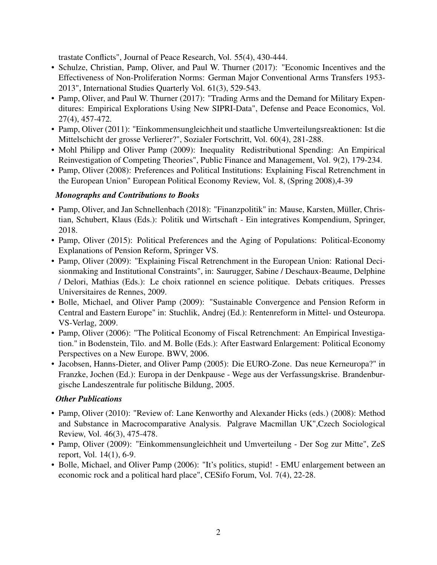trastate Conflicts", Journal of Peace Research, Vol. 55(4), 430-444.

- Schulze, Christian, Pamp, Oliver, and Paul W. Thurner (2017): "Economic Incentives and the Effectiveness of Non-Proliferation Norms: German Major Conventional Arms Transfers 1953- 2013", International Studies Quarterly Vol. 61(3), 529-543.
- Pamp, Oliver, and Paul W. Thurner (2017): "Trading Arms and the Demand for Military Expenditures: Empirical Explorations Using New SIPRI-Data", Defense and Peace Economics, Vol. 27(4), 457-472.
- Pamp, Oliver (2011): "Einkommensungleichheit und staatliche Umverteilungsreaktionen: Ist die Mittelschicht der grosse Verlierer?", Sozialer Fortschritt, Vol. 60(4), 281-288.
- Mohl Philipp and Oliver Pamp (2009): Inequality Redistributional Spending: An Empirical Reinvestigation of Competing Theories", Public Finance and Management, Vol. 9(2), 179-234.
- Pamp, Oliver (2008): Preferences and Political Institutions: Explaining Fiscal Retrenchment in the European Union" European Political Economy Review, Vol. 8, (Spring 2008),4-39

### *Monographs and Contributions to Books*

- Pamp, Oliver, and Jan Schnellenbach (2018): "Finanzpolitik" in: Mause, Karsten, Müller, Christian, Schubert, Klaus (Eds.): Politik und Wirtschaft - Ein integratives Kompendium, Springer, 2018.
- Pamp, Oliver (2015): Political Preferences and the Aging of Populations: Political-Economy Explanations of Pension Reform, Springer VS.
- Pamp, Oliver (2009): "Explaining Fiscal Retrenchment in the European Union: Rational Decisionmaking and Institutional Constraints", in: Saurugger, Sabine / Deschaux-Beaume, Delphine / Delori, Mathias (Eds.): Le choix rationnel en science politique. Debats critiques. Presses Universitaires de Rennes, 2009.
- Bolle, Michael, and Oliver Pamp (2009): "Sustainable Convergence and Pension Reform in Central and Eastern Europe" in: Stuchlik, Andrej (Ed.): Rentenreform in Mittel- und Osteuropa. VS-Verlag, 2009.
- Pamp, Oliver (2006): "The Political Economy of Fiscal Retrenchment: An Empirical Investigation." in Bodenstein, Tilo. and M. Bolle (Eds.): After Eastward Enlargement: Political Economy Perspectives on a New Europe. BWV, 2006.
- Jacobsen, Hanns-Dieter, and Oliver Pamp (2005): Die EURO-Zone. Das neue Kerneuropa?" in Franzke, Jochen (Ed.): Europa in der Denkpause - Wege aus der Verfassungskrise. Brandenburgische Landeszentrale fur politische Bildung, 2005.

### *Other Publications*

- Pamp, Oliver (2010): "Review of: Lane Kenworthy and Alexander Hicks (eds.) (2008): Method and Substance in Macrocomparative Analysis. Palgrave Macmillan UK",Czech Sociological Review, Vol. 46(3), 475-478.
- Pamp, Oliver (2009): "Einkommensungleichheit und Umverteilung Der Sog zur Mitte", ZeS report, Vol. 14(1), 6-9.
- Bolle, Michael, and Oliver Pamp (2006): "It's politics, stupid! EMU enlargement between an economic rock and a political hard place", CESifo Forum, Vol. 7(4), 22-28.